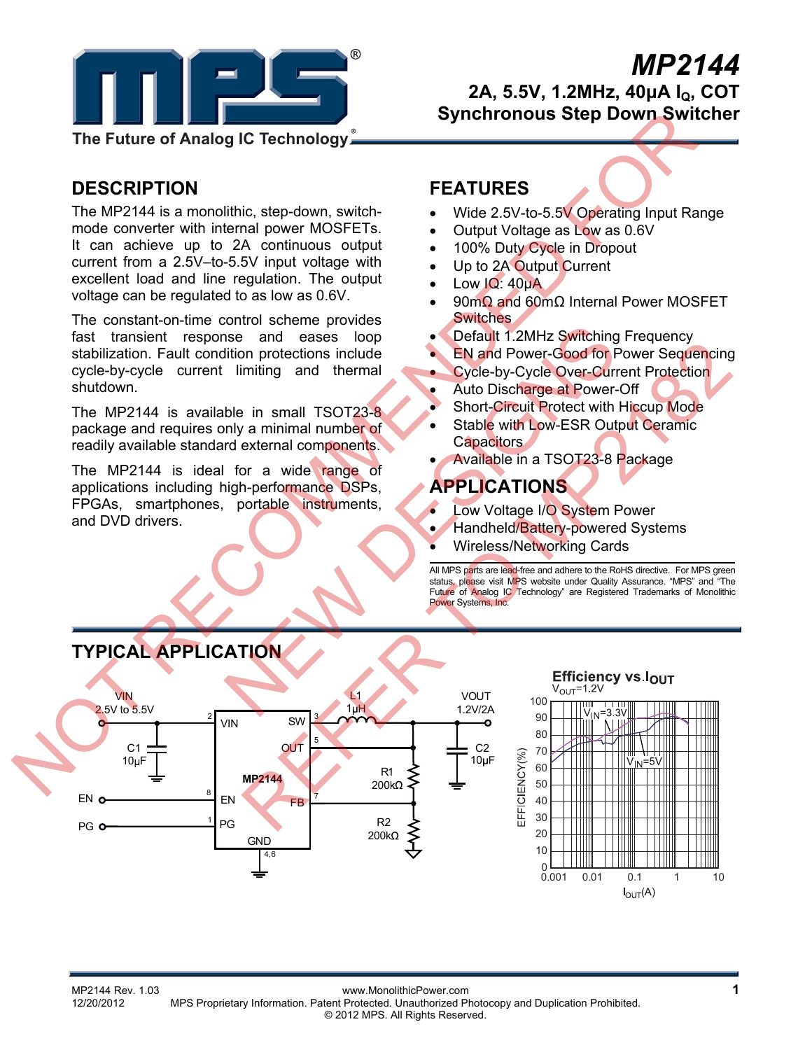

# *MP2144* **2A, 5.5V, 1.2MHz, 40μA IQ, COT**

 **Synchronous Step Down Switcher** 

## **DESCRIPTION**

The MP2144 is a monolithic, step-down, switchmode converter with internal power MOSFETs. It can achieve up to 2A continuous output current from a 2.5V–to-5.5V input voltage with excellent load and line regulation. The output voltage can be regulated to as low as 0.6V.

The constant-on-time control scheme provides fast transient response and eases loop stabilization. Fault condition protections include cycle-by-cycle current limiting and thermal shutdown.

The MP2144 is available in small TSOT23-8 package and requires only a minimal number of readily available standard external components.

The MP2144 is ideal for a wide range of applications including high-performance DSPs, FPGAs, smartphones, portable instruments, and DVD drivers.

## **FEATURES**

- Wide 2.5V-to-5.5V Operating Input Range
- Output Voltage as Low as 0.6V
- 100% Duty Cycle in Dropout
- Up to 2A Output Current
- Low IQ: 40uA
- 90mΩ and 60mΩ Internal Power MOSFET Switches
- Default 1.2MHz Switching Frequency
- EN and Power-Good for Power Sequencing
- Cycle-by-Cycle Over-Current Protection
- Auto Discharge at Power-Off
- Short-Circuit Protect with Hiccup Mode
- Stable with Low-ESR Output Ceramic **Capacitors**
- Available in a TSOT23-8 Package

## **APPLICATIONS**

- Low Voltage I/O System Power
- Handheld/Battery-powered Systems
- Wireless/Networking Cards

All MPS parts are lead-free and adhere to the RoHS directive. For MPS green status, please visit MPS website under Quality Assurance. "MPS" and "The Future of Analog IC Technology" are Registered Trademarks of Monolithic Power Systems, Inc.





MP2144 Rev. 1.03 www.MonolithicPower.com **1** 12/20/2012 MPS Proprietary Information. Patent Protected. Unauthorized Photocopy and Duplication Prohibited. © 2012 MPS. All Rights Reserved.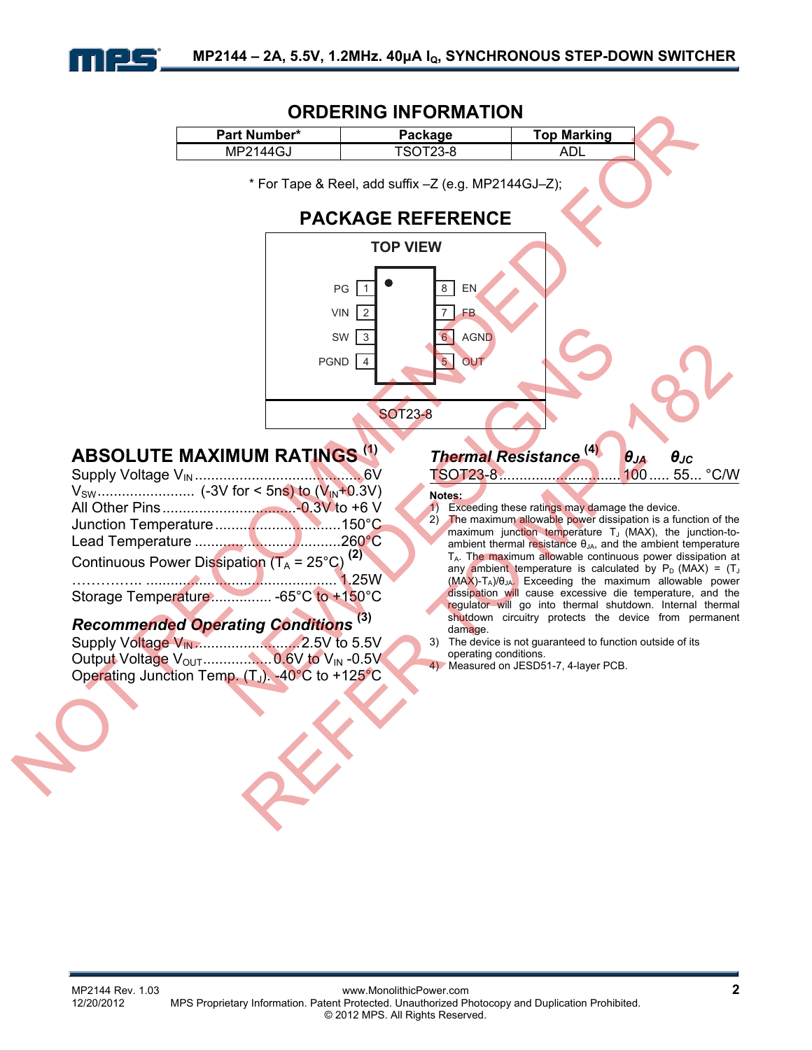

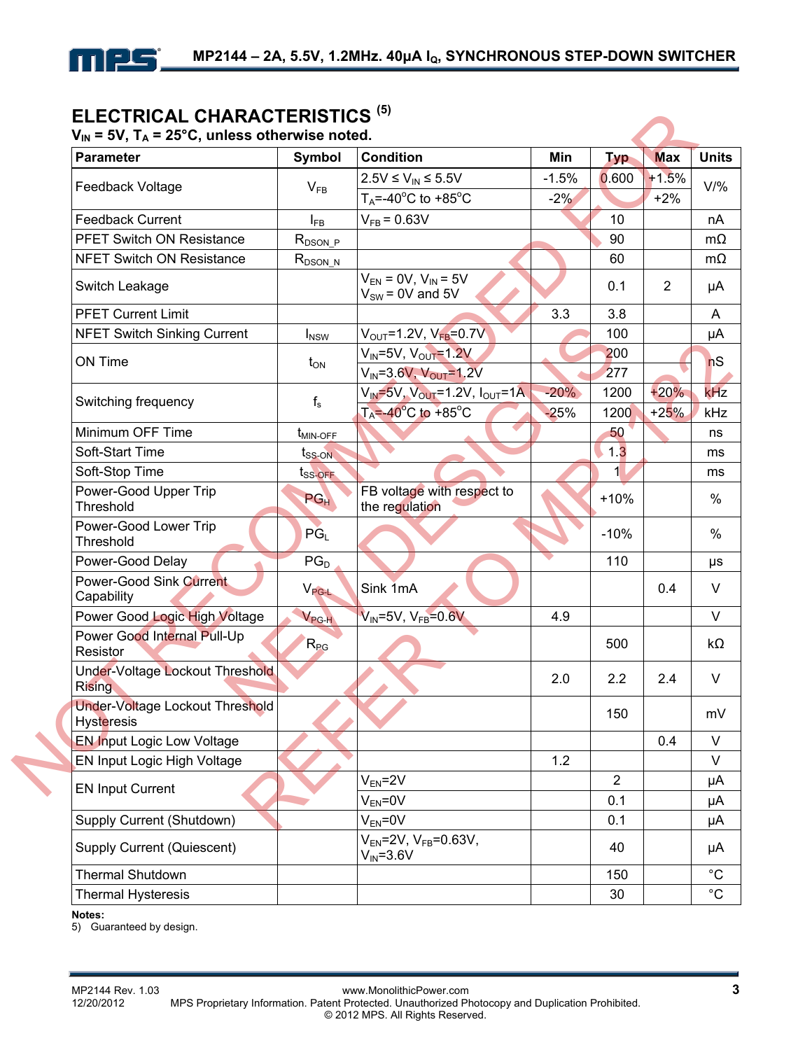

## **ELECTRICAL CHARACTERISTICS (5)**

| <b>Parameter</b>                                     | <b>Symbol</b>       | <b>Condition</b>                                      | Min     | <b>Typ</b>            | <b>Max</b>     |
|------------------------------------------------------|---------------------|-------------------------------------------------------|---------|-----------------------|----------------|
|                                                      |                     | $2.5V \le V_{IN} \le 5.5V$                            | $-1.5%$ | 0.600                 | $+1.5%$        |
| Feedback Voltage                                     | $V_{FB}$            | $T_A = -40^\circ \text{C}$ to $+85^\circ \text{C}$    | $-2%$   |                       | $+2%$          |
| <b>Feedback Current</b>                              | $I_{FB}$            | $V_{FB} = 0.63V$                                      |         | 10                    |                |
| <b>PFET Switch ON Resistance</b>                     | $R_{DSON\_P}$       |                                                       |         | 90                    |                |
| <b>NFET Switch ON Resistance</b>                     | $R_{DSON_N}$        |                                                       |         | 60                    |                |
| Switch Leakage                                       |                     | $V_{EN} = 0V$ , $V_{IN} = 5V$<br>$V_{SW}$ = 0V and 5V |         | 0.1                   | $\overline{2}$ |
| <b>PFET Current Limit</b>                            |                     |                                                       | 3.3     | 3.8                   |                |
| <b>NFET Switch Sinking Current</b>                   | $I_{NSW}$           | $V_{OUT} = 1.2V, V_{FB} = 0.7V$                       |         | 100                   |                |
| ON Time                                              | $t_{ON}$            | $V_{IN} = 5V$ , $V_{OUT} = 1.2V$                      |         | 200                   |                |
|                                                      |                     | $V_{IN} = 3.6 V, V_{OUT} = 1.2 V$                     |         | 277                   |                |
| Switching frequency                                  | $f_s$               | $V_{IN} = 5V$ , $V_{OUT} = 1.2V$ , $I_{OUT} = 1A$     | $-20%$  | 1200                  | $+20%$         |
|                                                      |                     | $T_A = -40^\circ \text{C}$ to +85°C                   | $-25%$  | 1200                  | $+25%$         |
| Minimum OFF Time                                     | $t_{MIN-OFF}$       |                                                       |         | 50                    |                |
| Soft-Start Time                                      | $t_{SS-ON}$         |                                                       |         | 1.3                   |                |
| Soft-Stop Time                                       | t <sub>SS-OFF</sub> |                                                       |         | $\mathbf{1}$          |                |
| Power-Good Upper Trip<br>Threshold                   | PGH                 | FB voltage with respect to<br>the regulation          |         | $+10%$                |                |
| Power-Good Lower Trip<br>Threshold                   | $PG_{L}$            |                                                       |         | $-10%$                |                |
| Power-Good Delay                                     | $PG_{D}$            |                                                       |         | 110                   |                |
| <b>Power-Good Sink Current</b><br>Capability         | $V_{\text{PG-L}}$   | Sink 1mA                                              |         |                       | 0.4            |
| Power Good Logic High Voltage                        | $V_{PG-H}$          | $V_{IN} = 5V, V_{FB} = 0.6V$                          | 4.9     |                       |                |
| Power Good Internal Pull-Up<br>Resistor              | $R_{PG}$            |                                                       |         | 500                   |                |
| Under-Voltage Lockout Threshold<br><b>Rising</b>     |                     |                                                       | 2.0     | 2.2                   | 2.4            |
| Under-Voltage Lockout Threshold<br><b>Hysteresis</b> |                     |                                                       |         | 150                   |                |
| <b>EN Input Logic Low Voltage</b>                    |                     |                                                       |         |                       | 0.4            |
| EN Input Logic High Voltage                          |                     |                                                       | 1.2     |                       |                |
| <b>EN Input Current</b>                              |                     | $V_{EN} = 2V$<br>$V_{EN} = 0V$                        |         | $\overline{2}$<br>0.1 |                |
| Supply Current (Shutdown)                            |                     | $V_{EN} = 0V$                                         |         | 0.1                   |                |
| <b>Supply Current (Quiescent)</b>                    |                     | $V_{EN} = 2V$ , $V_{FB} = 0.63V$ ,<br>$V_{IN} = 3.6V$ |         | 40                    |                |
| <b>Thermal Shutdown</b>                              |                     |                                                       |         | 150                   |                |
| <b>Thermal Hysteresis</b>                            |                     |                                                       |         | 30                    |                |

**Notes:** 

5) Guaranteed by design.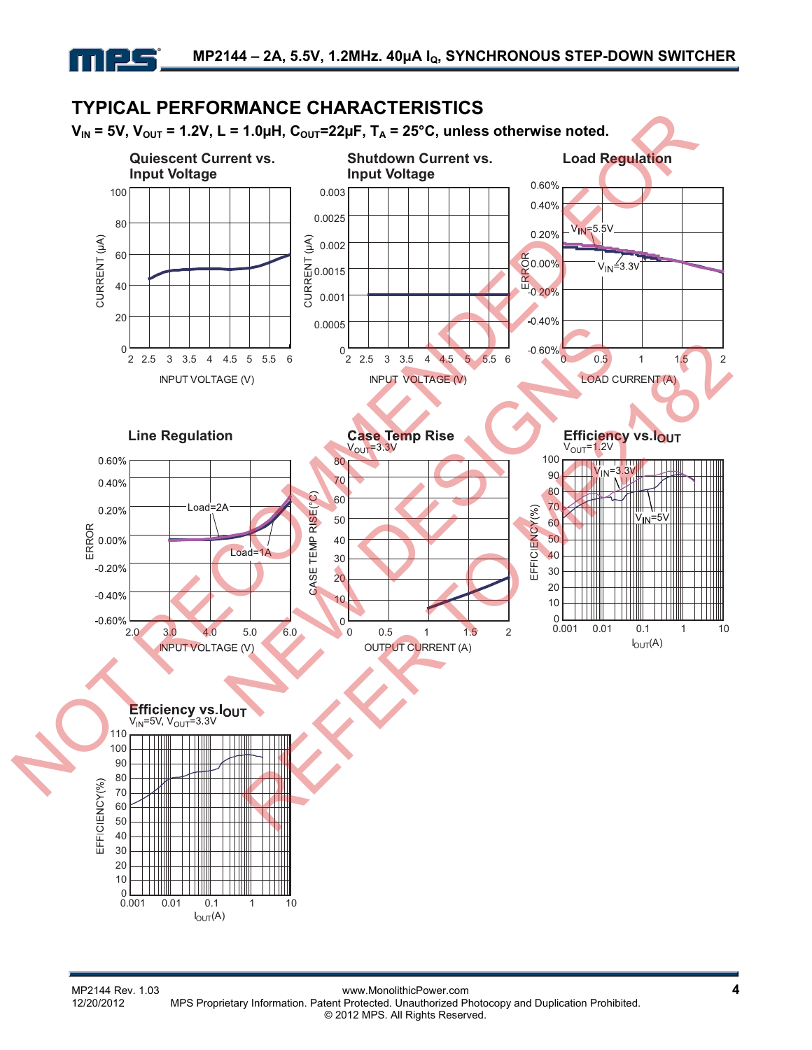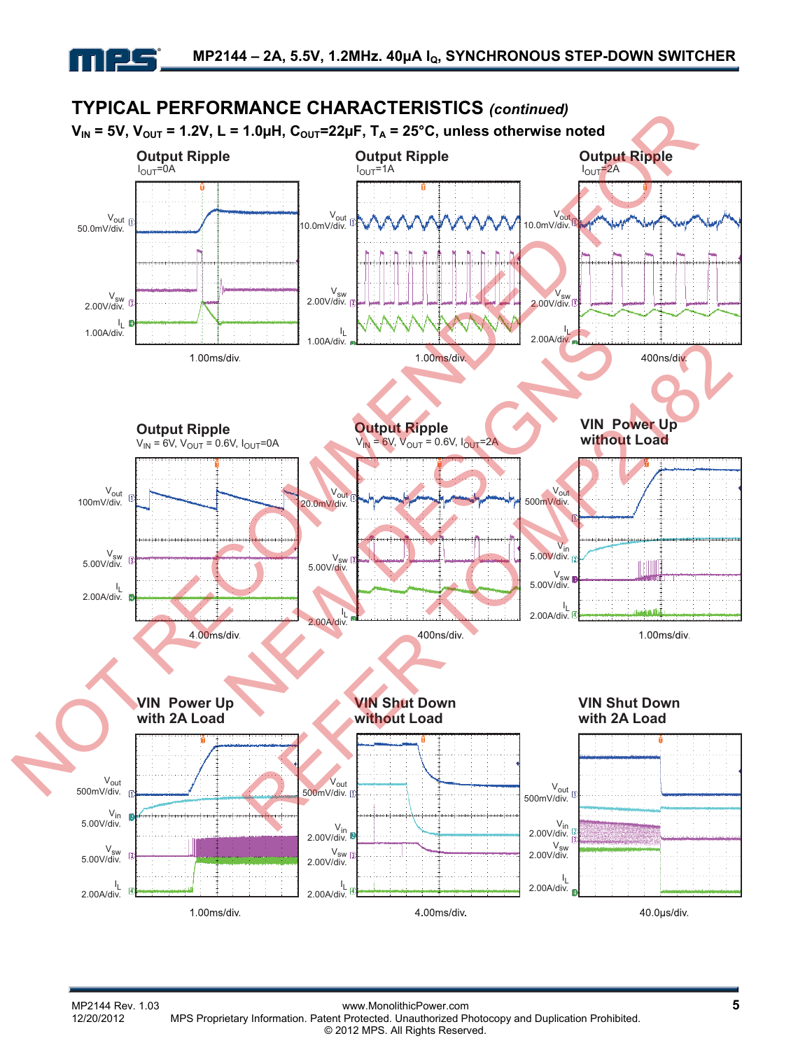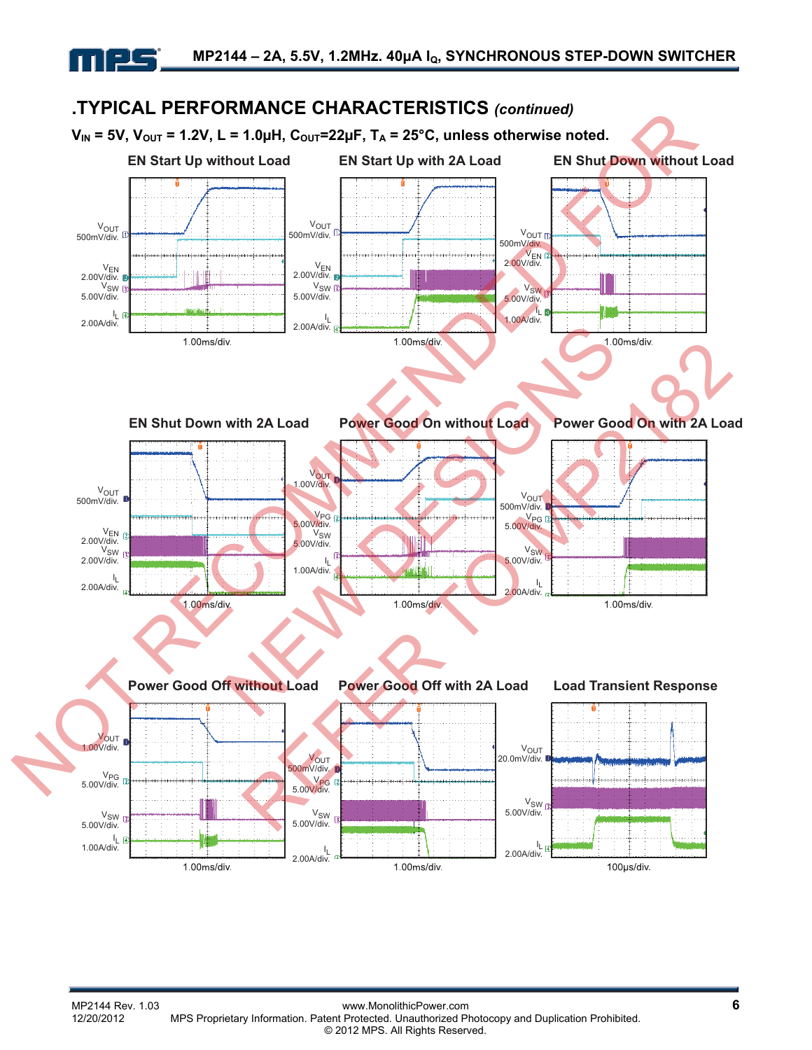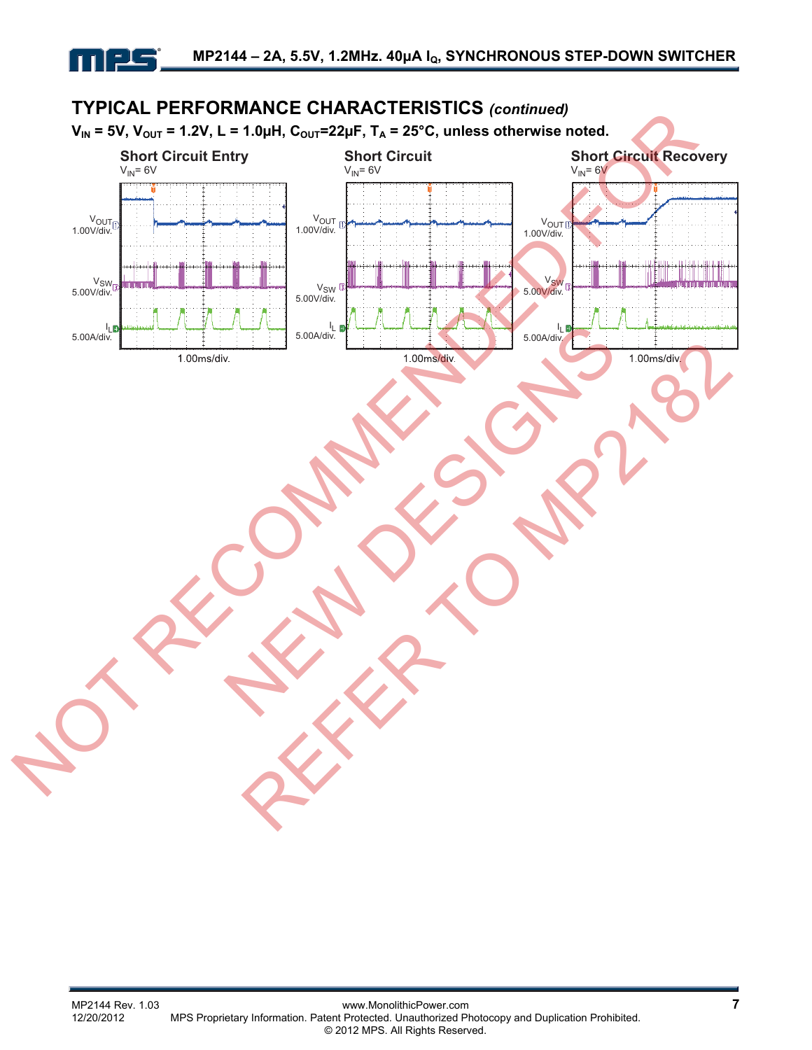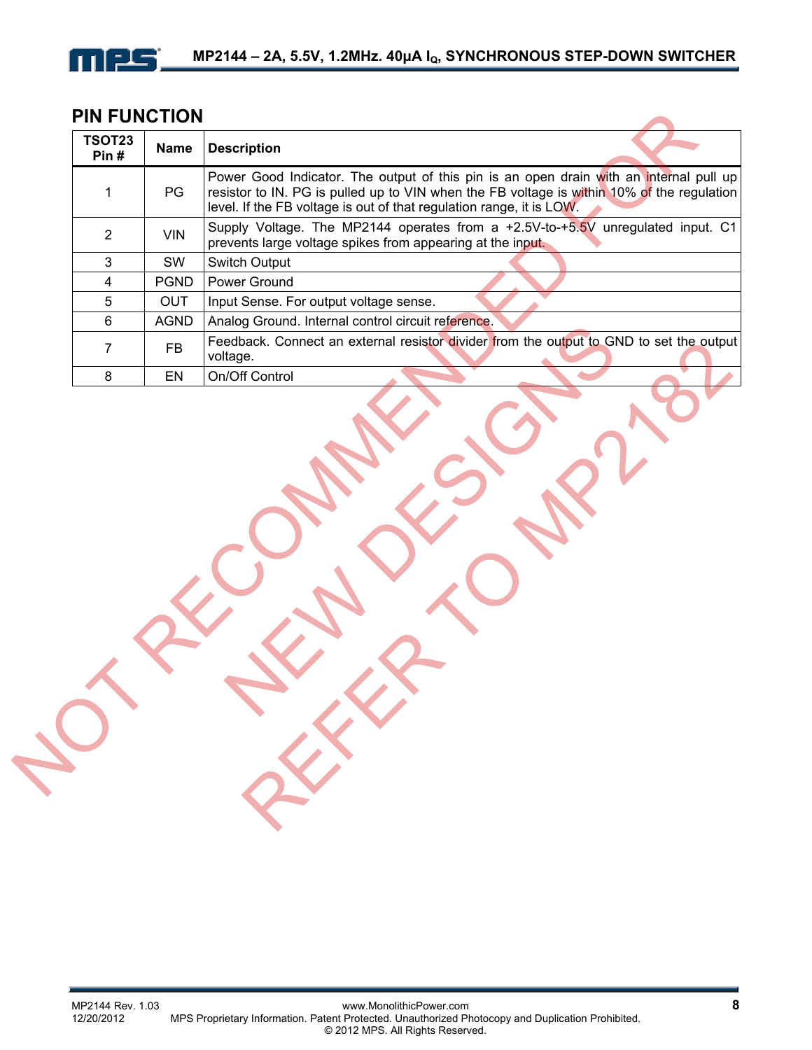

## **PIN FUNCTION**

| PG<br>$\mathbf 1$<br>level. If the FB voltage is out of that regulation range, it is LOW.<br>$\overline{2}$<br><b>VIN</b><br>prevents large voltage spikes from appearing at the input.<br>3<br>SW<br>Switch Output<br><b>PGND</b><br>Power Ground<br>$\overline{\mathbf{4}}$<br>5<br><b>OUT</b><br>Input Sense. For output voltage sense.<br><b>AGND</b><br>Analog Ground. Internal control circuit reference.<br>6<br>$\overline{7}$<br><b>FB</b><br>voltage.<br>On/Off Control<br>8<br>EN | <b>Name</b> | <b>Description</b>                                                                                                                                                                   |
|----------------------------------------------------------------------------------------------------------------------------------------------------------------------------------------------------------------------------------------------------------------------------------------------------------------------------------------------------------------------------------------------------------------------------------------------------------------------------------------------|-------------|--------------------------------------------------------------------------------------------------------------------------------------------------------------------------------------|
|                                                                                                                                                                                                                                                                                                                                                                                                                                                                                              |             | Power Good Indicator. The output of this pin is an open drain with an internal pull up<br>resistor to IN. PG is pulled up to VIN when the FB voltage is within 10% of the regulation |
|                                                                                                                                                                                                                                                                                                                                                                                                                                                                                              |             | Supply Voltage. The MP2144 operates from a +2.5V-to-+5.5V unregulated input. C1                                                                                                      |
|                                                                                                                                                                                                                                                                                                                                                                                                                                                                                              |             |                                                                                                                                                                                      |
|                                                                                                                                                                                                                                                                                                                                                                                                                                                                                              |             |                                                                                                                                                                                      |
|                                                                                                                                                                                                                                                                                                                                                                                                                                                                                              |             |                                                                                                                                                                                      |
|                                                                                                                                                                                                                                                                                                                                                                                                                                                                                              |             |                                                                                                                                                                                      |
|                                                                                                                                                                                                                                                                                                                                                                                                                                                                                              |             | Feedback. Connect an external resistor divider from the output to GND to set the output                                                                                              |
|                                                                                                                                                                                                                                                                                                                                                                                                                                                                                              |             |                                                                                                                                                                                      |
|                                                                                                                                                                                                                                                                                                                                                                                                                                                                                              |             |                                                                                                                                                                                      |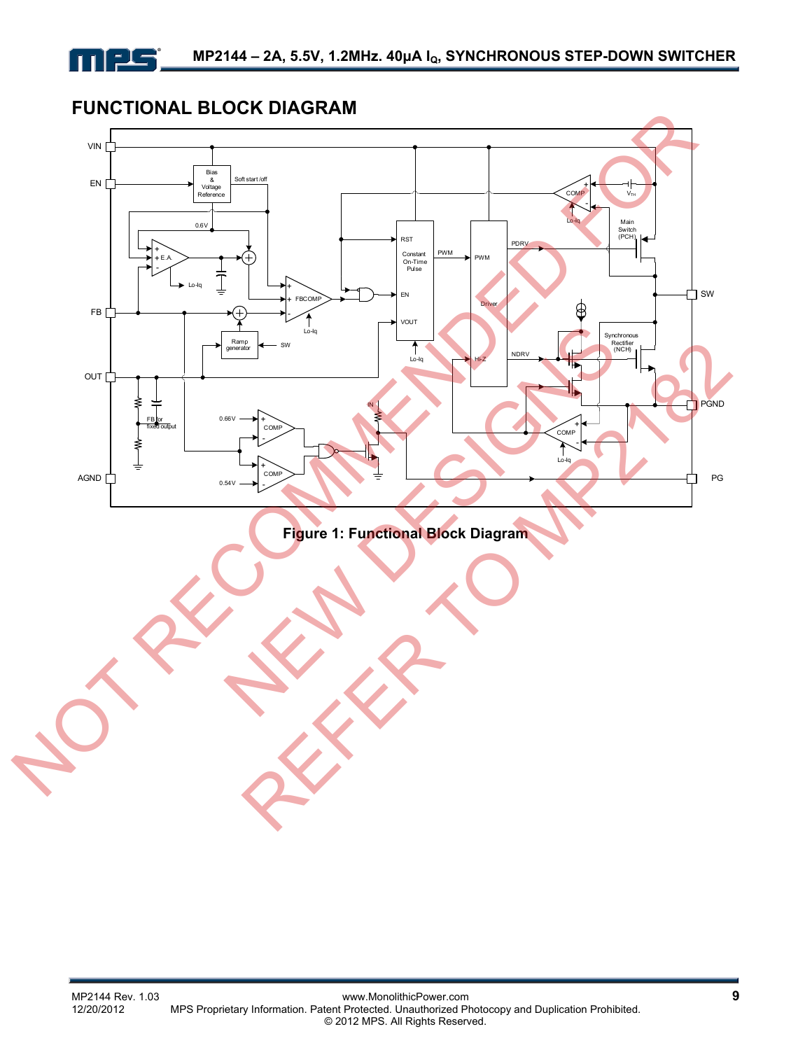## **FUNCTIONAL BLOCK DIAGRAM**

mes

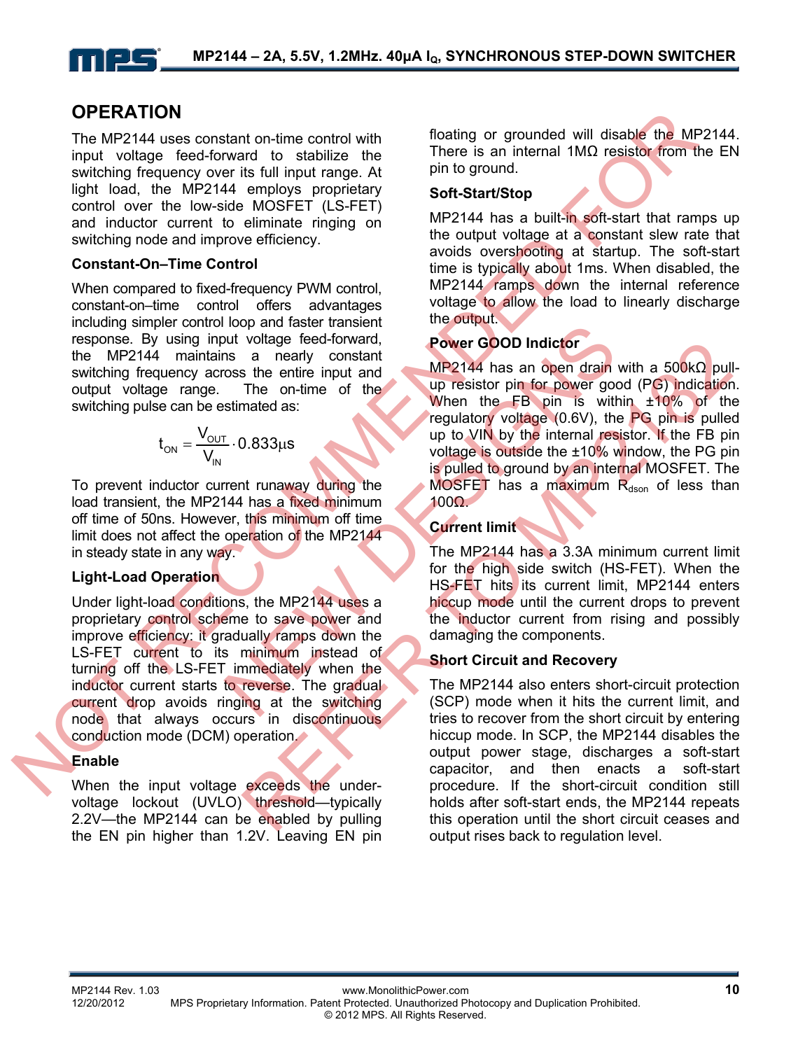## **OPERATION**

The MP2144 uses constant on-time control with input voltage feed-forward to stabilize the switching frequency over its full input range. At light load, the MP2144 employs proprietary control over the low-side MOSFET (LS-FET) and inductor current to eliminate ringing on switching node and improve efficiency.

#### **Constant-On–Time Control**

When compared to fixed-frequency PWM control, constant-on–time control offers advantages including simpler control loop and faster transient response. By using input voltage feed-forward, the MP2144 maintains a nearly constant switching frequency across the entire input and output voltage range. The on-time of the switching pulse can be estimated as:

$$
t_{ON} = \frac{V_{OUT}}{V_{IN}} \cdot 0.833 \mu s
$$

To prevent inductor current runaway during the load transient, the MP2144 has a fixed minimum off time of 50ns. However, this minimum off time limit does not affect the operation of the MP2144 in steady state in any way.

#### **Light-Load Operation**

Under light-load conditions, the MP2144 uses a proprietary control scheme to save power and improve efficiency: it gradually ramps down the LS-FET current to its minimum instead of turning off the LS-FET immediately when the inductor current starts to reverse. The gradual current drop avoids ringing at the switching node that always occurs in discontinuous conduction mode (DCM) operation. **OF EXA III ON THE CONTROL INTERNATIONAL CONTROL INTERNATIONAL CONTROL INTERNATIONAL CONTROL INTERNATIONAL CONTROL INTERNATIONAL CONTROL INTERNATIONAL CONTROL INTERNATIONAL CONTROL INTERNATIONAL CONTROL INTERNATIONAL CONT** 

#### **Enable**

When the input voltage exceeds the undervoltage lockout (UVLO) threshold—typically 2.2V—the MP2144 can be enabled by pulling the EN pin higher than 1.2V. Leaving EN pin floating or grounded will disable the MP2144. There is an internal 1MΩ resistor from the EN pin to ground.

#### **Soft-Start/Stop**

MP2144 has a built-in soft-start that ramps up the output voltage at a constant slew rate that avoids overshooting at startup. The soft-start time is typically about 1ms. When disabled, the MP2144 ramps down the internal reference voltage to allow the load to linearly discharge the output.

### **Power GOOD Indictor**

MP2144 has an open drain with a 500kΩ pullup resistor pin for power good (PG) indication. When the FB pin is within ±10% of the regulatory voltage (0.6V), the PG pin is pulled up to VIN by the internal resistor. If the FB pin voltage is outside the ±10% window, the PG pin is pulled to ground by an internal MOSFET. The MOSFET has a maximum  $R_{dson}$  of less than 100Ω. Notifiate the server and<br>
New State of the Server COOD Indictor<br>
The on-time of the state of the state of the state of the state of the state of the state of the state of the state of the state of the state of the state of

#### **Current limit**

The MP2144 has a 3.3A minimum current limit for the high side switch (HS-FET). When the HS-FET hits its current limit, MP2144 enters hiccup mode until the current drops to prevent the inductor current from rising and possibly damaging the components.

#### **Short Circuit and Recovery**

The MP2144 also enters short-circuit protection (SCP) mode when it hits the current limit, and tries to recover from the short circuit by entering hiccup mode. In SCP, the MP2144 disables the output power stage, discharges a soft-start capacitor, and then enacts a soft-start procedure. If the short-circuit condition still holds after soft-start ends, the MP2144 repeats this operation until the short circuit ceases and output rises back to regulation level. From the main of the MP2144 has an open drain with a 500kQ pulling<br>
The on-time of the UMP2144 has an open drain with a 500kQ pulling<br>
The on-time of the UMP2144 has an open drain with a 500kQ pulling<br>
3.833.<br>
Tregulatory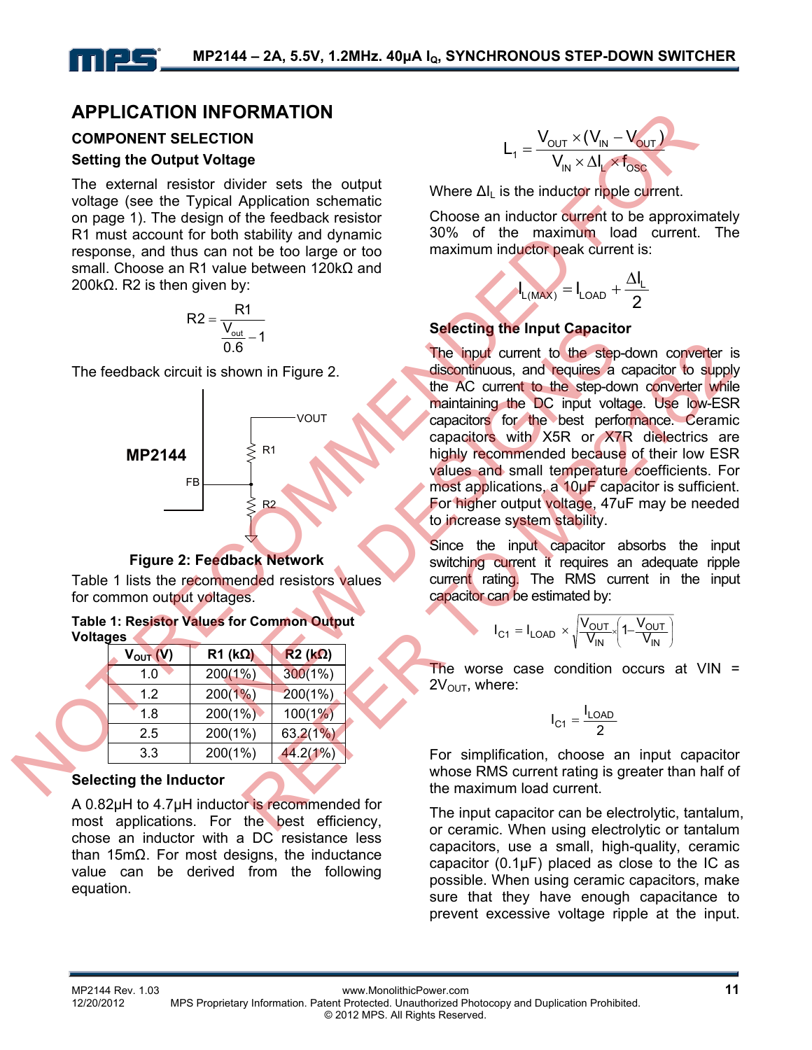## **APPLICATION INFORMATION**

## **COMPONENT SELECTION**

#### **Setting the Output Voltage**

The external resistor divider sets the output voltage (see the Typical Application schematic on page 1). The design of the feedback resistor R1 must account for both stability and dynamic response, and thus can not be too large or too small. Choose an R1 value between 120kΩ and 200k $Ω$ . R2 is then given by:

$$
R2 = \frac{R1}{\frac{V_{out}}{0.6} - 1}
$$

The feedback circuit is shown in Figure 2.



#### **Figure 2: Feedback Network**

Table 1 lists the recommended resistors values for common output voltages.

#### **Table 1: Resistor Values for Common Output Voltages**

| $V_{OUT} (V)$ | $R1$ (k $\Omega$ ) | $R2 (k\Omega)$ |
|---------------|--------------------|----------------|
| 1.0           | 200(1%)            | 300(1%)        |
| 1.2           | 200(1%)            | 200(1%)        |
| 1.8           | 200(1%)            | 100(1%)        |
| 2.5           | 200(1%)            | 63.2(1%)       |
| 3.3           | 200(1%)            | 44.2(1%)       |

#### **Selecting the Inductor**

A 0.82µH to 4.7µH inductor is recommended for most applications. For the best efficiency, chose an inductor with a DC resistance less than 15mΩ. For most designs, the inductance value can be derived from the following equation.

$$
L_1 = \frac{V_{OUT} \times (V_{IN} - V_{OUT})}{V_{IN} \times \Delta I_L \times f_{OSC}}
$$

Where  $\Delta I_L$  is the inductor ripple current.

Choose an inductor current to be approximately 30% of the maximum load current. The maximum inductor peak current is:

$$
I_{L(MAX)} = I_{LOAD} + \frac{\Delta I_L}{2}
$$

#### **Selecting the Input Capacitor**

The input current to the step-down converter is discontinuous, and requires a capacitor to supply the AC current to the step-down converter while maintaining the DC input voltage. Use low-ESR capacitors for the best performance. Ceramic capacitors with X5R or X7R dielectrics are highly recommended because of their low ESR values and small temperature coefficients. For most applications, a 10µF capacitor is sufficient. For higher output voltage, 47uF may be needed to increase system stability. **EVELO TRIDE AT EXECUTE AND THE CONDUCT SERVICE SURFACE AND CONDUCT SURFACE TOWARD TO CONDUCT SURFACE TO A CONDUCT SURFACE ON A CONDUCT SURFACE ON A CONDUCT SURFACE ON A CONDUCT SURFACE ON A CONDUCT SURFACE ON A CONDUCT S**  $\frac{V_{out}}{V_{out}} = 1$ <br>
Selecting the Input Capacities<br>
shown in Figure 2.<br>
<br>
Your capacitors for the best performance of the step-domain<br>
your capacitors for the best performance of the step-domain<br>
respective to the step-dom The input current to the step-down converter in<br>
wown in Figure 2.<br>
Your the AC current to the step-down converter while<br>
Your capacitors for the best performance. Ceramination<br>
Your capacitors with XSR or XTR dielectrics

Since the input capacitor absorbs the input switching current it requires an adequate ripple current rating. The RMS current in the input capacitor can be estimated by:

$$
I_{C1} = I_{LOAD} \times \sqrt{\frac{V_{OUT}}{V_{IN}} \left(1 - \frac{V_{OUT}}{V_{IN}}\right)}
$$

The worse case condition occurs at  $VIN =$  $2V<sub>OUT</sub>$ , where:

$$
I_{C1}=\frac{I_{LOAD}}{2}
$$

For simplification, choose an input capacitor whose RMS current rating is greater than half of the maximum load current.

The input capacitor can be electrolytic, tantalum, or ceramic. When using electrolytic or tantalum capacitors, use a small, high-quality, ceramic capacitor (0.1μF) placed as close to the IC as possible. When using ceramic capacitors, make sure that they have enough capacitance to prevent excessive voltage ripple at the input.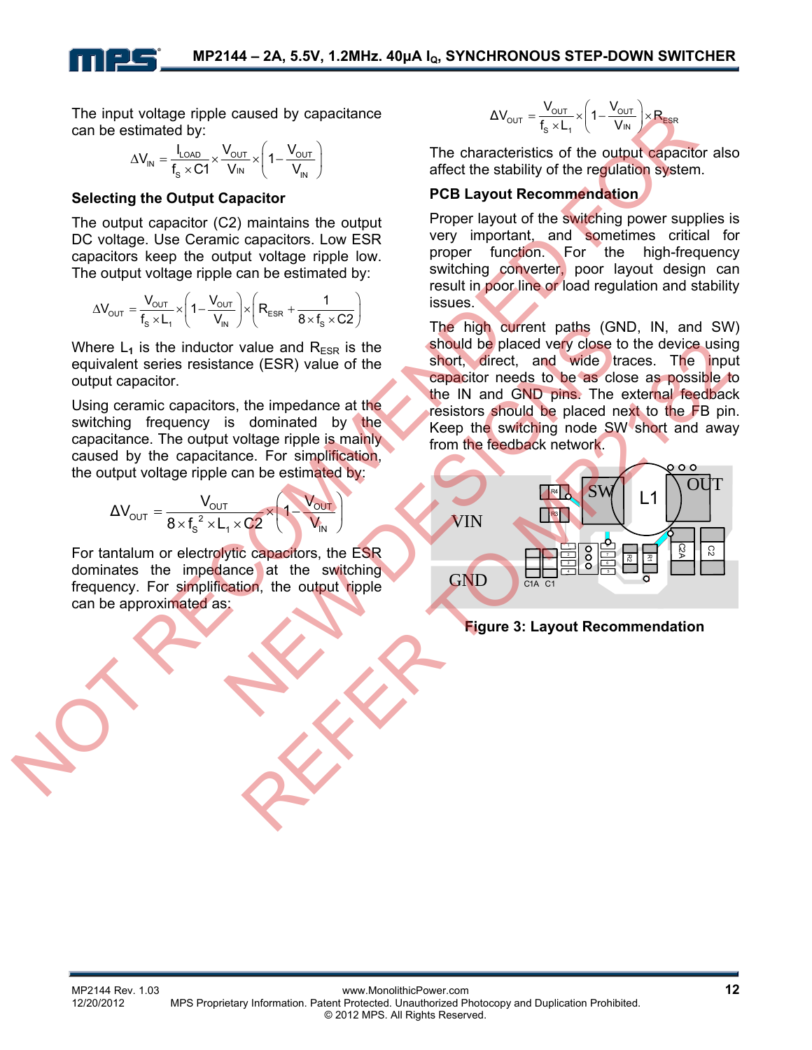The input voltage ripple caused by capacitance can be estimated by:

> $V_{\text{IN}} = \frac{V_{\text{LOAD}}}{f_{\text{S}} \times C1} \times \frac{V_{\text{OUT}}}{V_{\text{IN}}} \times \left(1 - \frac{V_{\text{OUT}}}{V_{\text{IN}}} \right)$  $V_{\text{IN}} = \frac{I_{\text{LOAD}}}{I_{\text{LO}} \times \frac{V_{\text{OUT}}}{V_{\text{UV}}} \times \left(1 - \frac{V_{\text{UV}}}{V_{\text{UV}}} \right)$  $\Delta V_{\text{IN}} = \frac{I_{\text{LOAD}}}{f_{\text{S}} \times C1} \times \frac{V_{\text{OUT}}}{V_{\text{IN}}} \times \left(1 - \frac{V_{\text{OUT}}}{V_{\text{IN}}}\right)$

#### **Selecting the Output Capacitor**

The output capacitor (C2) maintains the output DC voltage. Use Ceramic capacitors. Low ESR capacitors keep the output voltage ripple low. The output voltage ripple can be estimated by:

$$
\Delta V_{\text{OUT}}=\frac{V_{\text{OUT}}}{f_s\times L_1}\times\left(1-\frac{V_{\text{OUT}}}{V_{\text{IN}}}\right)\times\left(R_{\text{ESR}}+\frac{1}{8\times f_s\times C2}\right)
$$

Where  $L_1$  is the inductor value and  $R_{ESR}$  is the equivalent series resistance (ESR) value of the output capacitor.

Using ceramic capacitors, the impedance at the switching frequency is dominated by the capacitance. The output voltage ripple is mainly caused by the capacitance. For simplification, the output voltage ripple can be estimated by:

$$
\Delta V_{\text{OUT}} = \frac{V_{\text{OUT}}}{8 \times f_s^2 \times L_1 \times C2} \times \left(1 - \frac{V_{\text{OUT}}}{V_{\text{IN}}}\right)
$$

For tantalum or electrolytic capacitors, the ESR dominates the impedance at the switching frequency. For simplification, the output ripple can be approximated as:

$$
\Delta V_{\text{OUT}} = \frac{V_{\text{OUT}}}{f_s \times L_1} \times \left(1 - \frac{V_{\text{OUT}}}{V_{\text{IN}}}\right) \times R_{\text{ESR}}
$$

The characteristics of the output capacitor also affect the stability of the regulation system.

#### **PCB Layout Recommendation**

Proper layout of the switching power supplies is very important, and sometimes critical for proper function. For the high-frequency switching converter, poor layout design can result in poor line or load regulation and stability issues.

The high current paths (GND, IN, and SW) should be placed very close to the device using short, direct, and wide traces. The input capacitor needs to be as close as possible to the IN and GND pins. The external feedback resistors should be placed next to the FB pin. Keep the switching node SW short and away from the feedback network.

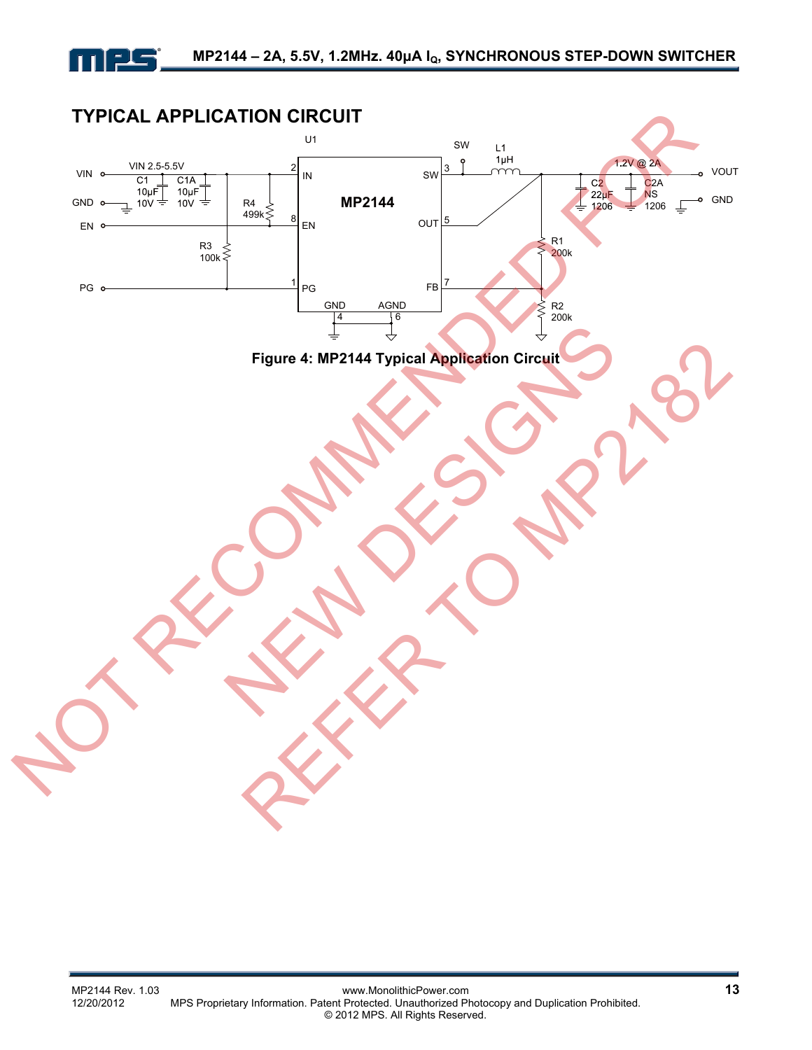